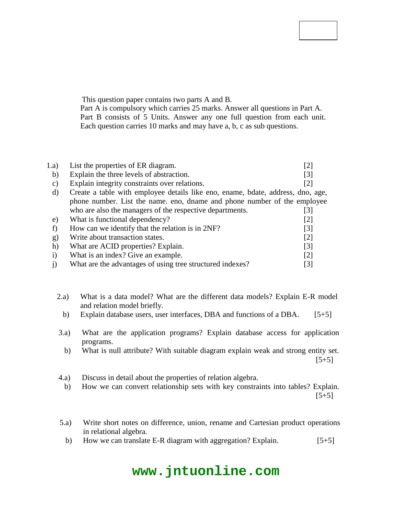### **Code No: 114CQ**

## **JAWAHARLAL NEHRU TECHNOLOGICAL UNIVERSITY HYDERABAD B.Tech II Year II Semester Examinations, October/November - 2016 DATABASE MANAGEMENT SYSTEMS (Common to CSE, IT)**

## **Time: 3 Hours Max. Marks: 75**

**Note:** This question paper contains two parts A and B. Part A is compulsory which carries 25 marks. Answer all questions in Part A. Part B consists of 5 Units. Answer any one full question from each unit. Each question carries 10 marks and may have a, b, c as sub questions.

## **PART - A (25 Marks)**

| 1.a) | List the properties of ER diagram.                                              |                   |
|------|---------------------------------------------------------------------------------|-------------------|
| b)   | Explain the three levels of abstraction.                                        | [3]               |
| C)   | Explain integrity constraints over relations.                                   | 121               |
| d)   | Create a table with employee details like eno, ename, bdate, address, dno, age, |                   |
|      | phone number. List the name, eno, dname and phone number of the employee        |                   |
|      | who are also the managers of the respective departments.                        | 31                |
| e)   | What is functional dependency?                                                  | $\lceil 2 \rceil$ |
|      | How can we identify that the relation is in 2NF?                                | [3]               |
| g)   | Write about transaction states.                                                 | [2]               |
| h)   | What are ACID properties? Explain.                                              | $\lceil 3 \rceil$ |
|      | What is an index? Give an example.                                              | $\lceil 2 \rceil$ |
|      | What are the advantages of using tree structured indexes?                       | [3]               |

## **PART - B (50 Marks)**

- 2.a) What is a data model? What are the different data models? Explain E-R model and relation model briefly.
	- b) Explain database users, user interfaces, DBA and functions of a DBA. [5+5] **OR**
- 3.a) What are the application programs? Explain database access for application programs.
	- b) What is null attribute? With suitable diagram explain weak and strong entity set.  $[5+5]$
- 4.a) Discuss in detail about the properties of relation algebra.
	- b) How we can convert relationship sets with key constraints into tables? Explain.  $[5+5]$

## **OR**

- 5.a) Write short notes on difference, union, rename and Cartesian product operations in relational algebra.
	- b) How we can translate E-R diagram with aggregation? Explain.  $[5+5]$

## **www.jntuonline.com**